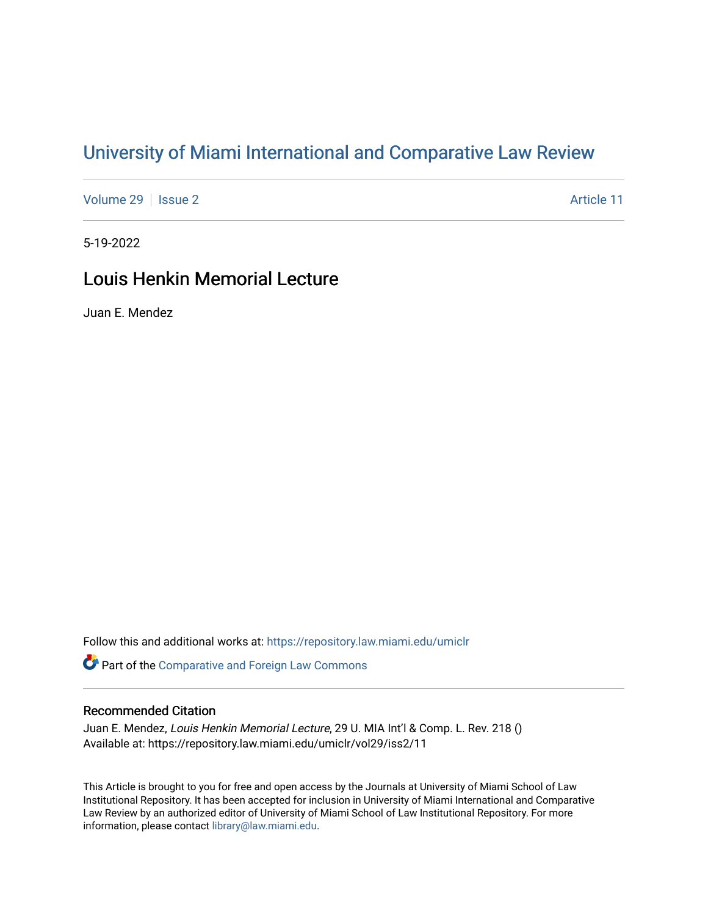# [University of Miami International and Comparative Law Review](https://repository.law.miami.edu/umiclr)

[Volume 29](https://repository.law.miami.edu/umiclr/vol29) | [Issue 2](https://repository.law.miami.edu/umiclr/vol29/iss2) Article 11

5-19-2022

## Louis Henkin Memorial Lecture

Juan E. Mendez

Follow this and additional works at: [https://repository.law.miami.edu/umiclr](https://repository.law.miami.edu/umiclr?utm_source=repository.law.miami.edu%2Fumiclr%2Fvol29%2Fiss2%2F11&utm_medium=PDF&utm_campaign=PDFCoverPages)

**Part of the Comparative and Foreign Law Commons** 

## Recommended Citation

Juan E. Mendez, Louis Henkin Memorial Lecture, 29 U. MIA Int'l & Comp. L. Rev. 218 () Available at: https://repository.law.miami.edu/umiclr/vol29/iss2/11

This Article is brought to you for free and open access by the Journals at University of Miami School of Law Institutional Repository. It has been accepted for inclusion in University of Miami International and Comparative Law Review by an authorized editor of University of Miami School of Law Institutional Repository. For more information, please contact [library@law.miami.edu](mailto:library@law.miami.edu).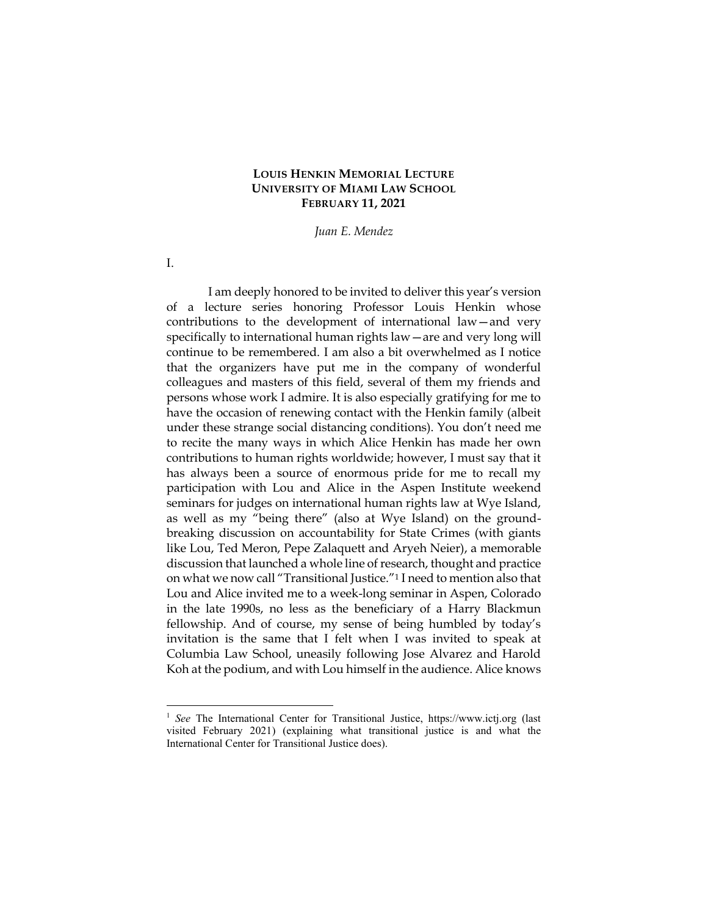## **LOUIS HENKIN MEMORIAL LECTURE UNIVERSITY OF MIAMI LAW SCHOOL FEBRUARY 11, 2021**

*Juan E. Mendez*

I am deeply honored to be invited to deliver this year's version of a lecture series honoring Professor Louis Henkin whose contributions to the development of international law—and very specifically to international human rights law—are and very long will continue to be remembered. I am also a bit overwhelmed as I notice that the organizers have put me in the company of wonderful colleagues and masters of this field, several of them my friends and persons whose work I admire. It is also especially gratifying for me to have the occasion of renewing contact with the Henkin family (albeit under these strange social distancing conditions). You don't need me to recite the many ways in which Alice Henkin has made her own contributions to human rights worldwide; however, I must say that it has always been a source of enormous pride for me to recall my participation with Lou and Alice in the Aspen Institute weekend seminars for judges on international human rights law at Wye Island, as well as my "being there" (also at Wye Island) on the groundbreaking discussion on accountability for State Crimes (with giants like Lou, Ted Meron, Pepe Zalaquett and Aryeh Neier), a memorable discussion that launched a whole line of research, thought and practice on what we now call "Transitional Justice."<sup>1</sup> I need to mention also that Lou and Alice invited me to a week-long seminar in Aspen, Colorado in the late 1990s, no less as the beneficiary of a Harry Blackmun fellowship. And of course, my sense of being humbled by today's invitation is the same that I felt when I was invited to speak at Columbia Law School, uneasily following Jose Alvarez and Harold Koh at the podium, and with Lou himself in the audience. Alice knows

I.

<sup>&</sup>lt;sup>1</sup> See The International Center for Transitional Justice, https://www.ictj.org (last visited February 2021) (explaining what transitional justice is and what the International Center for Transitional Justice does).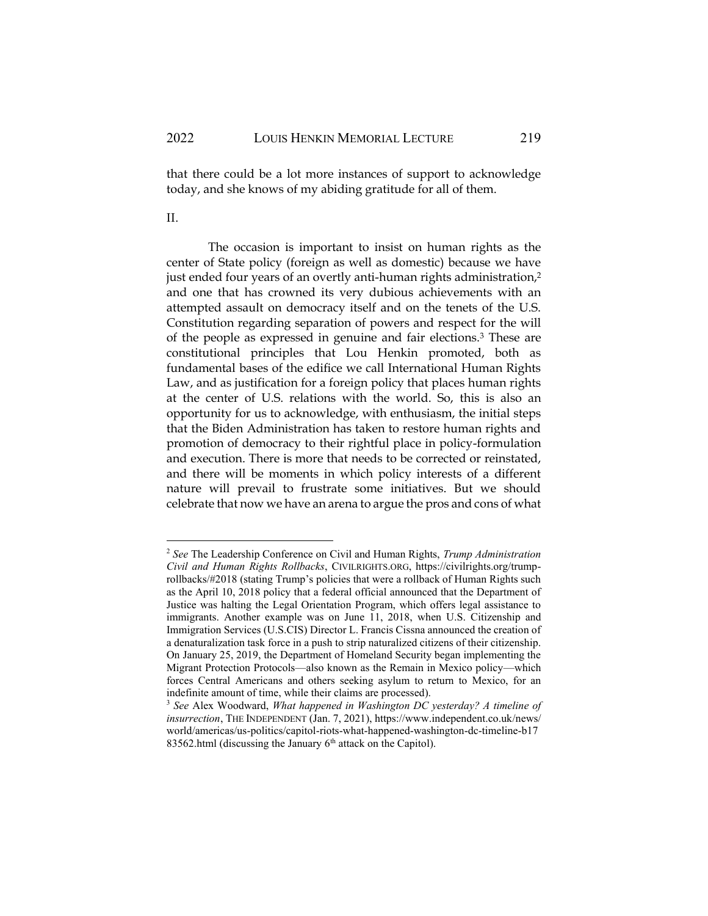that there could be a lot more instances of support to acknowledge today, and she knows of my abiding gratitude for all of them.

II.

The occasion is important to insist on human rights as the center of State policy (foreign as well as domestic) because we have just ended four years of an overtly anti-human rights administration,<sup>2</sup> and one that has crowned its very dubious achievements with an attempted assault on democracy itself and on the tenets of the U.S. Constitution regarding separation of powers and respect for the will of the people as expressed in genuine and fair elections.<sup>3</sup> These are constitutional principles that Lou Henkin promoted, both as fundamental bases of the edifice we call International Human Rights Law, and as justification for a foreign policy that places human rights at the center of U.S. relations with the world. So, this is also an opportunity for us to acknowledge, with enthusiasm, the initial steps that the Biden Administration has taken to restore human rights and promotion of democracy to their rightful place in policy-formulation and execution. There is more that needs to be corrected or reinstated, and there will be moments in which policy interests of a different nature will prevail to frustrate some initiatives. But we should celebrate that now we have an arena to argue the pros and cons of what

<sup>2</sup> *See* The Leadership Conference on Civil and Human Rights, *Trump Administration Civil and Human Rights Rollbacks*, CIVILRIGHTS.ORG, https://civilrights.org/trumprollbacks/#2018 (stating Trump's policies that were a rollback of Human Rights such as the April 10, 2018 policy that a federal official announced that the Department of Justice was halting the Legal Orientation Program, which offers legal assistance to immigrants. Another example was on June 11, 2018, when U.S. Citizenship and Immigration Services (U.S.CIS) Director L. Francis Cissna announced the creation of a denaturalization task force in a push to strip naturalized citizens of their citizenship. On January 25, 2019, the Department of Homeland Security began implementing the Migrant Protection Protocols—also known as the Remain in Mexico policy—which forces Central Americans and others seeking asylum to return to Mexico, for an indefinite amount of time, while their claims are processed).

<sup>3</sup> *See* Alex Woodward, *What happened in Washington DC yesterday? A timeline of insurrection*, THE INDEPENDENT (Jan. 7, 2021), https://www.independent.co.uk/news/ world/americas/us-politics/capitol-riots-what-happened-washington-dc-timeline-b17 83562.html (discussing the January  $6<sup>th</sup>$  attack on the Capitol).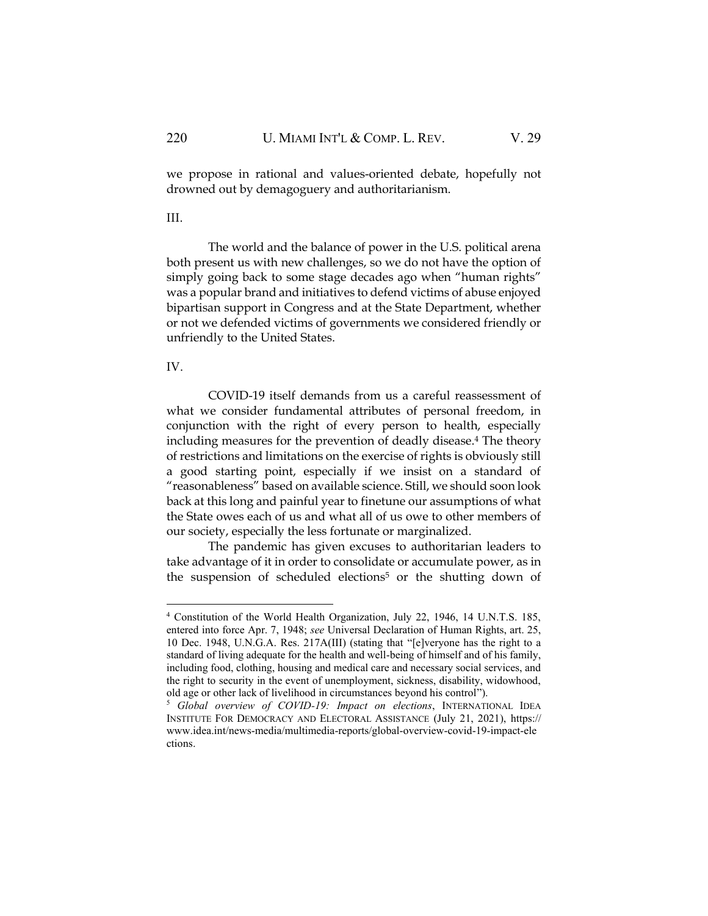we propose in rational and values-oriented debate, hopefully not drowned out by demagoguery and authoritarianism.

III.

The world and the balance of power in the U.S. political arena both present us with new challenges, so we do not have the option of simply going back to some stage decades ago when "human rights" was a popular brand and initiatives to defend victims of abuse enjoyed bipartisan support in Congress and at the State Department, whether or not we defended victims of governments we considered friendly or unfriendly to the United States.

## IV.

COVID-19 itself demands from us a careful reassessment of what we consider fundamental attributes of personal freedom, in conjunction with the right of every person to health, especially including measures for the prevention of deadly disease.<sup>4</sup> The theory of restrictions and limitations on the exercise of rights is obviously still a good starting point, especially if we insist on a standard of "reasonableness" based on available science. Still, we should soon look back at this long and painful year to finetune our assumptions of what the State owes each of us and what all of us owe to other members of our society, especially the less fortunate or marginalized.

The pandemic has given excuses to authoritarian leaders to take advantage of it in order to consolidate or accumulate power, as in the suspension of scheduled elections<sup>5</sup> or the shutting down of

<sup>4</sup> Constitution of the World Health Organization, July 22, 1946, 14 U.N.T.S. 185, entered into force Apr. 7, 1948; *see* Universal Declaration of Human Rights, art. 25, 10 Dec. 1948, U.N.G.A. Res. 217A(III) (stating that "[e]veryone has the right to a standard of living adequate for the health and well-being of himself and of his family, including food, clothing, housing and medical care and necessary social services, and the right to security in the event of unemployment, sickness, disability, widowhood, old age or other lack of livelihood in circumstances beyond his control").

<sup>5</sup> *Global overview of COVID-19: Impact on elections*, INTERNATIONAL IDEA INSTITUTE FOR DEMOCRACY AND ELECTORAL ASSISTANCE (July 21, 2021), [https://](https://www.idea.int/news-media/multimedia-reports/global-overview-covid-19-impact-elections) [www.idea.int/news-media/multimedia-reports/global-overview-covid-19-impact-ele](https://www.idea.int/news-media/multimedia-reports/global-overview-covid-19-impact-elections) [ctions.](https://www.idea.int/news-media/multimedia-reports/global-overview-covid-19-impact-elections)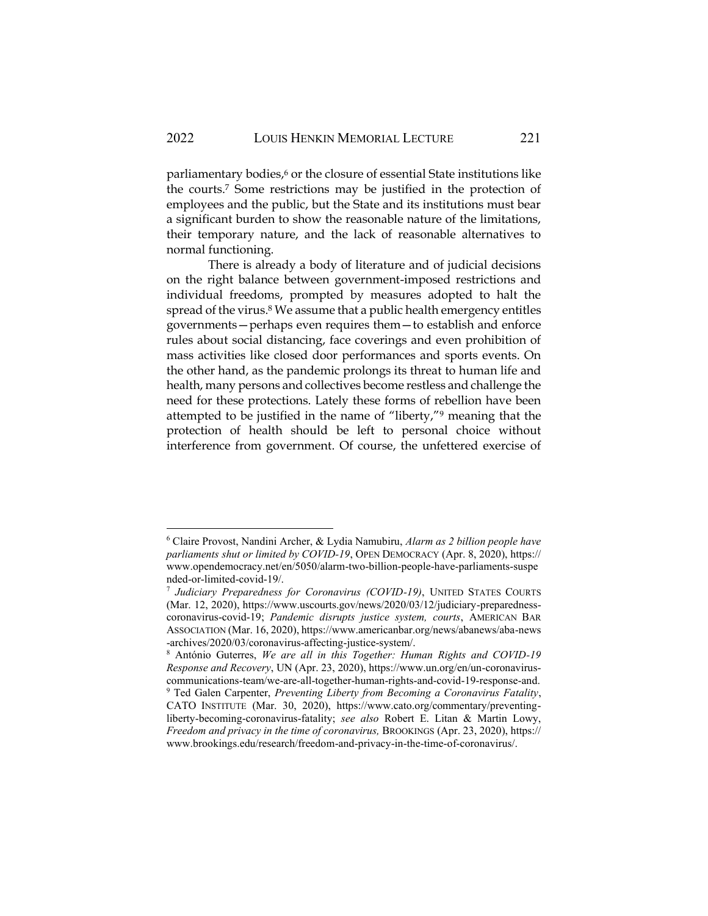parliamentary bodies,<sup>6</sup> or the closure of essential State institutions like the courts.<sup>7</sup> Some restrictions may be justified in the protection of employees and the public, but the State and its institutions must bear a significant burden to show the reasonable nature of the limitations, their temporary nature, and the lack of reasonable alternatives to normal functioning.

There is already a body of literature and of judicial decisions on the right balance between government-imposed restrictions and individual freedoms, prompted by measures adopted to halt the spread of the virus.<sup>8</sup> We assume that a public health emergency entitles governments—perhaps even requires them—to establish and enforce rules about social distancing, face coverings and even prohibition of mass activities like closed door performances and sports events. On the other hand, as the pandemic prolongs its threat to human life and health, many persons and collectives become restless and challenge the need for these protections. Lately these forms of rebellion have been attempted to be justified in the name of "liberty,"<sup>9</sup> meaning that the protection of health should be left to personal choice without interference from government. Of course, the unfettered exercise of

<sup>6</sup> Claire Provost, Nandini Archer, & Lydia Namubiru, *Alarm as 2 billion people have parliaments shut or limited by COVID-19*, OPEN DEMOCRACY (Apr. 8, 2020), https:// www.opendemocracy.net/en/5050/alarm-two-billion-people-have-parliaments-suspe nded-or-limited-covid-19/.

<sup>7</sup> *Judiciary Preparedness for Coronavirus (COVID-19)*, UNITED STATES COURTS (Mar. 12, 2020), https://www.uscourts.gov/news/2020/03/12/judiciary-preparednesscoronavirus-covid-19; *Pandemic disrupts justice system, courts*, AMERICAN BAR ASSOCIATION (Mar. 16, 2020), https://www.americanbar.org/news/abanews/aba-news -archives/2020/03/coronavirus-affecting-justice-system/.

<sup>8</sup> António Guterres, *We are all in this Together: Human Rights and COVID-19 Response and Recovery*, UN (Apr. 23, 2020), https://www.un.org/en/un-coronaviruscommunications-team/we-are-all-together-human-rights-and-covid-19-response-and. <sup>9</sup> Ted Galen Carpenter, *Preventing Liberty from Becoming a Coronavirus Fatality*, CATO INSTITUTE (Mar. 30, 2020), https://www.cato.org/commentary/preventingliberty-becoming-coronavirus-fatality; *see also* Robert E. Litan & Martin Lowy, *Freedom and privacy in the time of coronavirus,* BROOKINGS (Apr. 23, 2020), https:// www.brookings.edu/research/freedom-and-privacy-in-the-time-of-coronavirus/.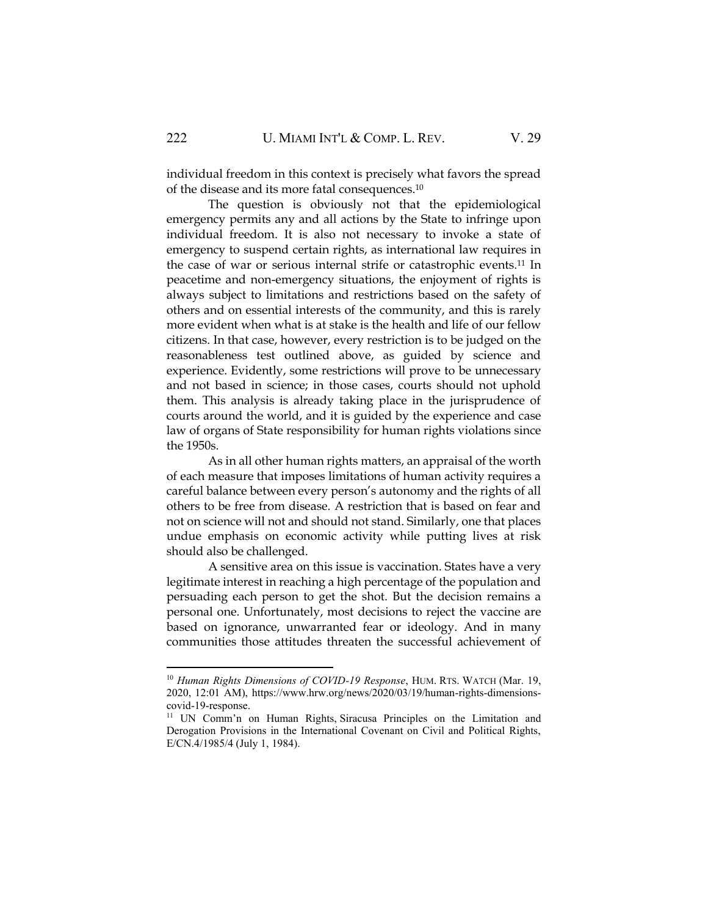individual freedom in this context is precisely what favors the spread of the disease and its more fatal consequences.<sup>10</sup>

The question is obviously not that the epidemiological emergency permits any and all actions by the State to infringe upon individual freedom. It is also not necessary to invoke a state of emergency to suspend certain rights, as international law requires in the case of war or serious internal strife or catastrophic events.<sup>11</sup> In peacetime and non-emergency situations, the enjoyment of rights is always subject to limitations and restrictions based on the safety of others and on essential interests of the community, and this is rarely more evident when what is at stake is the health and life of our fellow citizens. In that case, however, every restriction is to be judged on the reasonableness test outlined above, as guided by science and experience. Evidently, some restrictions will prove to be unnecessary and not based in science; in those cases, courts should not uphold them. This analysis is already taking place in the jurisprudence of courts around the world, and it is guided by the experience and case law of organs of State responsibility for human rights violations since the 1950s.

As in all other human rights matters, an appraisal of the worth of each measure that imposes limitations of human activity requires a careful balance between every person's autonomy and the rights of all others to be free from disease. A restriction that is based on fear and not on science will not and should not stand. Similarly, one that places undue emphasis on economic activity while putting lives at risk should also be challenged.

A sensitive area on this issue is vaccination. States have a very legitimate interest in reaching a high percentage of the population and persuading each person to get the shot. But the decision remains a personal one. Unfortunately, most decisions to reject the vaccine are based on ignorance, unwarranted fear or ideology. And in many communities those attitudes threaten the successful achievement of

<sup>10</sup> *Human Rights Dimensions of COVID-19 Response*, HUM. RTS. WATCH (Mar. 19, 2020, 12:01 AM), https://www.hrw.org/news/2020/03/19/human-rights-dimensionscovid-19-response.

<sup>&</sup>lt;sup>11</sup> UN Comm'n on Human Rights, Siracusa Principles on the Limitation and Derogation Provisions in the International Covenant on Civil and Political Rights, E/CN.4/1985/4 (July 1, 1984).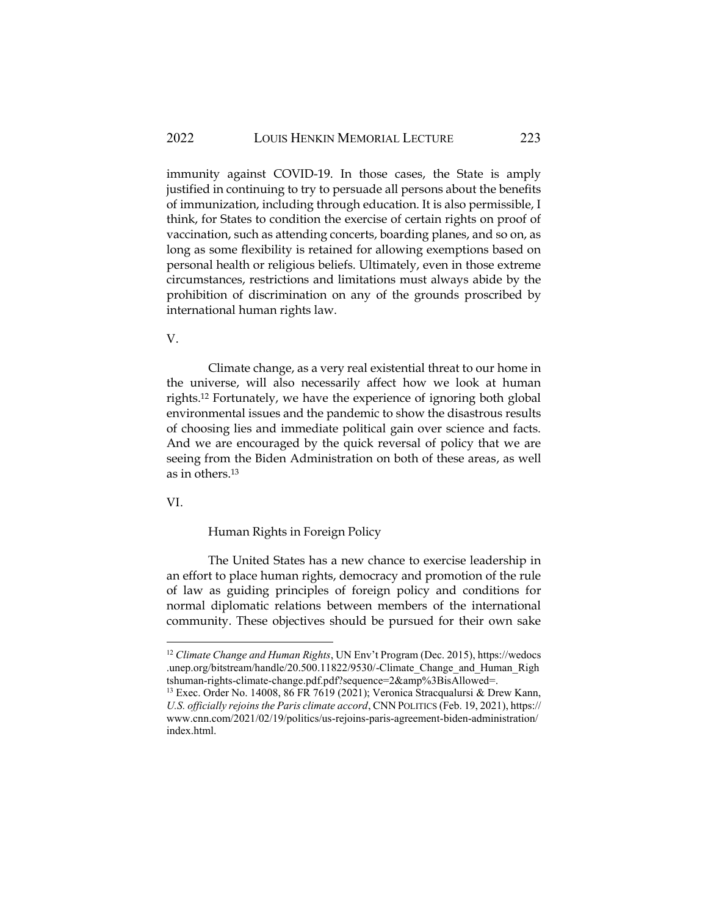immunity against COVID-19. In those cases, the State is amply justified in continuing to try to persuade all persons about the benefits of immunization, including through education. It is also permissible, I think, for States to condition the exercise of certain rights on proof of vaccination, such as attending concerts, boarding planes, and so on, as long as some flexibility is retained for allowing exemptions based on personal health or religious beliefs. Ultimately, even in those extreme circumstances, restrictions and limitations must always abide by the prohibition of discrimination on any of the grounds proscribed by international human rights law.

V.

Climate change, as a very real existential threat to our home in the universe, will also necessarily affect how we look at human rights.<sup>12</sup> Fortunately, we have the experience of ignoring both global environmental issues and the pandemic to show the disastrous results of choosing lies and immediate political gain over science and facts. And we are encouraged by the quick reversal of policy that we are seeing from the Biden Administration on both of these areas, as well as in others.<sup>13</sup>

VI.

Human Rights in Foreign Policy

The United States has a new chance to exercise leadership in an effort to place human rights, democracy and promotion of the rule of law as guiding principles of foreign policy and conditions for normal diplomatic relations between members of the international community. These objectives should be pursued for their own sake

<sup>12</sup> *Climate Change and Human Rights*, UN Env't Program (Dec. 2015), https://wedocs .unep.org/bitstream/handle/20.500.11822/9530/-Climate\_Change\_and\_Human\_Righ tshuman-rights-climate-change.pdf.pdf?sequence=2&amp%3BisAllowed=.

<sup>&</sup>lt;sup>13</sup> Exec. Order No. 14008, 86 FR 7619 (2021); Veronica Stracqualursi & Drew Kann, *U.S. officially rejoins the Paris climate accord*, CNN POLITICS (Feb. 19, 2021), https:// www.cnn.com/2021/02/19/politics/us-rejoins-paris-agreement-biden-administration/ index.html.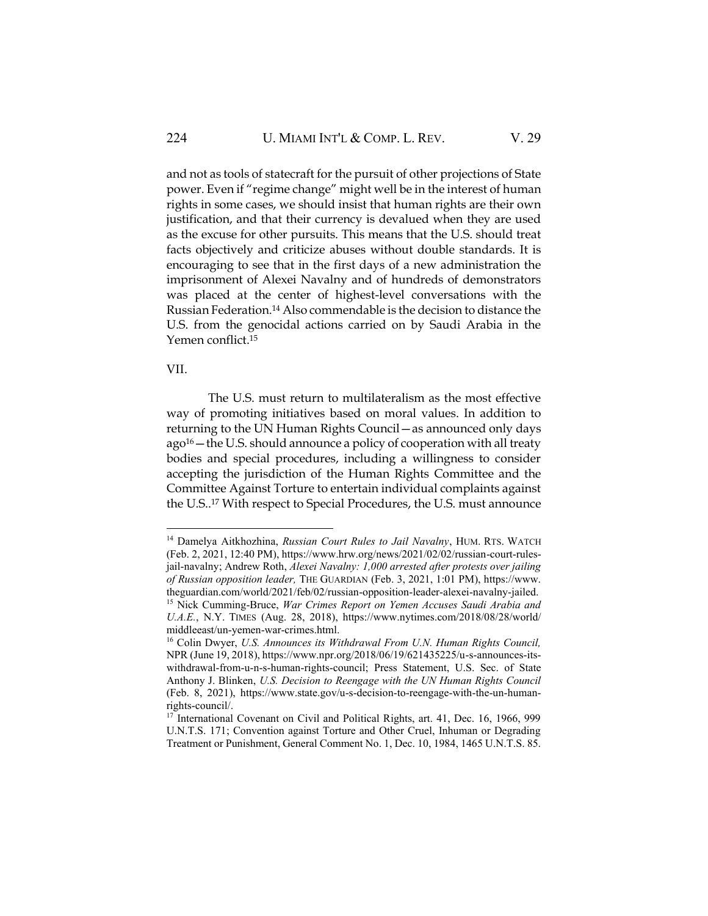and not as tools of statecraft for the pursuit of other projections of State power. Even if "regime change" might well be in the interest of human rights in some cases, we should insist that human rights are their own justification, and that their currency is devalued when they are used as the excuse for other pursuits. This means that the U.S. should treat facts objectively and criticize abuses without double standards. It is encouraging to see that in the first days of a new administration the imprisonment of Alexei Navalny and of hundreds of demonstrators was placed at the center of highest-level conversations with the Russian Federation.<sup>14</sup> Also commendable is the decision to distance the U.S. from the genocidal actions carried on by Saudi Arabia in the Yemen conflict.<sup>15</sup>

#### VII.

The U.S. must return to multilateralism as the most effective way of promoting initiatives based on moral values. In addition to returning to the UN Human Rights Council—as announced only days ago<sup>16</sup> – the U.S. should announce a policy of cooperation with all treaty bodies and special procedures, including a willingness to consider accepting the jurisdiction of the Human Rights Committee and the Committee Against Torture to entertain individual complaints against the U.S..<sup>17</sup> With respect to Special Procedures, the U.S. must announce

<sup>&</sup>lt;sup>14</sup> Damelya Aitkhozhina, *Russian Court Rules to Jail Navalny*, HUM. RTS. WATCH (Feb. 2, 2021, 12:40 PM), https://www.hrw.org/news/2021/02/02/russian-court-rulesjail-navalny; Andrew Roth, *Alexei Navalny: 1,000 arrested after protests over jailing of Russian opposition leader,* THE GUARDIAN (Feb. 3, 2021, 1:01 PM), https://www. theguardian.com/world/2021/feb/02/russian-opposition-leader-alexei-navalny-jailed. <sup>15</sup> Nick Cumming-Bruce, *War Crimes Report on Yemen Accuses Saudi Arabia and U.A.E.*, N.Y. TIMES (Aug. 28, 2018), https://www.nytimes.com/2018/08/28/world/

middleeast/un-yemen-war-crimes.html.

<sup>16</sup> Colin Dwyer, *U.S. Announces its Withdrawal From U.N. Human Rights Council,* NPR (June 19, 2018), https://www.npr.org/2018/06/19/621435225/u-s-announces-itswithdrawal-from-u-n-s-human-rights-council; Press Statement, U.S. Sec. of State Anthony J. Blinken, *U.S. Decision to Reengage with the UN Human Rights Council*  (Feb. 8, 2021), https://www.state.gov/u-s-decision-to-reengage-with-the-un-humanrights-council/.

<sup>&</sup>lt;sup>17</sup> International Covenant on Civil and Political Rights, art. 41, Dec. 16, 1966, 999 U.N.T.S. 171; Convention against Torture and Other Cruel, Inhuman or Degrading Treatment or Punishment, General Comment No. 1, Dec. 10, 1984, 1465 U.N.T.S. 85.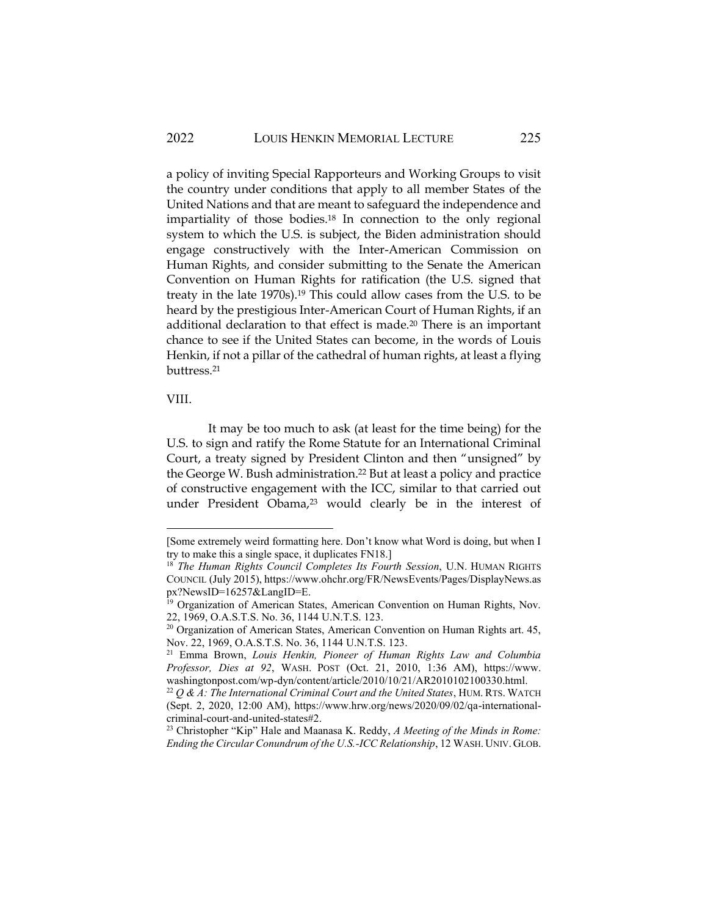a policy of inviting Special Rapporteurs and Working Groups to visit the country under conditions that apply to all member States of the United Nations and that are meant to safeguard the independence and impartiality of those bodies.<sup>18</sup> In connection to the only regional system to which the U.S. is subject, the Biden administration should engage constructively with the Inter-American Commission on Human Rights, and consider submitting to the Senate the American Convention on Human Rights for ratification (the U.S. signed that treaty in the late 1970s).<sup>19</sup> This could allow cases from the U.S. to be heard by the prestigious Inter-American Court of Human Rights, if an additional declaration to that effect is made.<sup>20</sup> There is an important chance to see if the United States can become, in the words of Louis Henkin, if not a pillar of the cathedral of human rights, at least a flying buttress.<sup>21</sup>

#### VIII.

It may be too much to ask (at least for the time being) for the U.S. to sign and ratify the Rome Statute for an International Criminal Court, a treaty signed by President Clinton and then "unsigned" by the George W. Bush administration.<sup>22</sup> But at least a policy and practice of constructive engagement with the ICC, similar to that carried out under President Obama,<sup>23</sup> would clearly be in the interest of

<sup>[</sup>Some extremely weird formatting here. Don't know what Word is doing, but when I try to make this a single space, it duplicates FN18.]

<sup>18</sup> *The Human Rights Council Completes Its Fourth Session*, U.N. HUMAN RIGHTS COUNCIL (July 2015), https://www.ohchr.org/FR/NewsEvents/Pages/DisplayNews.as px?NewsID=16257&LangID=E.

<sup>&</sup>lt;sup>19</sup> Organization of American States, American Convention on Human Rights, Nov. 22, 1969, O.A.S.T.S. No. 36, 1144 U.N.T.S. 123.

 $20$  Organization of American States, American Convention on Human Rights art. 45, Nov. 22, 1969, O.A.S.T.S. No. 36, 1144 U.N.T.S. 123.

<sup>21</sup> Emma Brown, *Louis Henkin, Pioneer of Human Rights Law and Columbia Professor, Dies at 92*, WASH. POST (Oct. 21, 2010, 1:36 AM), https://www. washingtonpost.com/wp-dyn/content/article/2010/10/21/AR2010102100330.html.

 $22$   $Q$  & A: The International Criminal Court and the United States, HUM. RTS. WATCH (Sept. 2, 2020, 12:00 AM), https://www.hrw.org/news/2020/09/02/qa-internationalcriminal-court-and-united-states#2.

<sup>23</sup> Christopher "Kip" Hale and Maanasa K. Reddy, *A Meeting of the Minds in Rome: Ending the Circular Conundrum of the U.S.-ICC Relationship*, 12 WASH. UNIV. GLOB.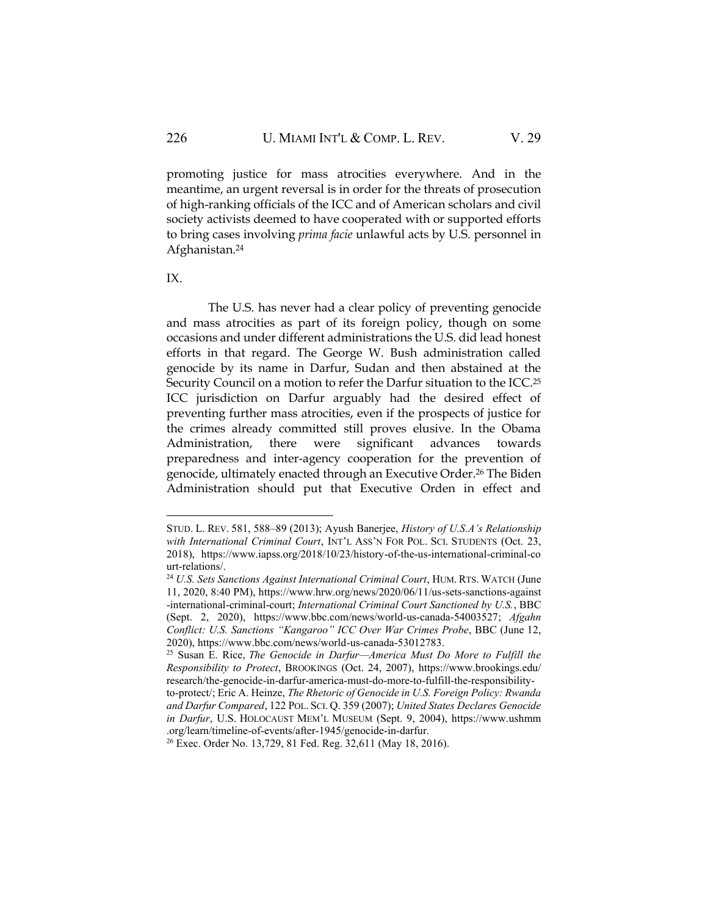promoting justice for mass atrocities everywhere. And in the meantime, an urgent reversal is in order for the threats of prosecution of high-ranking officials of the ICC and of American scholars and civil society activists deemed to have cooperated with or supported efforts to bring cases involving *prima facie* unlawful acts by U.S. personnel in Afghanistan.<sup>24</sup>

IX.

The U.S. has never had a clear policy of preventing genocide and mass atrocities as part of its foreign policy, though on some occasions and under different administrations the U.S. did lead honest efforts in that regard. The George W. Bush administration called genocide by its name in Darfur, Sudan and then abstained at the Security Council on a motion to refer the Darfur situation to the ICC.<sup>25</sup> ICC jurisdiction on Darfur arguably had the desired effect of preventing further mass atrocities, even if the prospects of justice for the crimes already committed still proves elusive. In the Obama Administration, there were significant advances towards preparedness and inter-agency cooperation for the prevention of genocide, ultimately enacted through an Executive Order.<sup>26</sup> The Biden Administration should put that Executive Orden in effect and

STUD. L. REV. 581, 588–89 (2013); Ayush Banerjee, *History of U.S.A's Relationship with International Criminal Court*, INT'L ASS'N FOR POL. SCI. STUDENTS (Oct. 23, 2018), https://www.iapss.org/2018/10/23/history-of-the-us-international-criminal-co urt-relations/.

<sup>&</sup>lt;sup>24</sup> U.S. Sets Sanctions Against International Criminal Court, HUM. RTS. WATCH (June 11, 2020, 8:40 PM)[, https://www.hrw.org/news/2020/06/11/us-sets-sanctions-against](https://www.hrw.org/news/2020/06/11/us-sets-sanctions-against-international-criminal-court) [-international-criminal-court;](https://www.hrw.org/news/2020/06/11/us-sets-sanctions-against-international-criminal-court) *International Criminal Court Sanctioned by U.S.*, BBC (Sept. 2, 2020), [https://www.bbc.com/news/world-us-canada-54003527;](https://www.bbc.com/news/world-us-canada-54003527) *Afgahn Conflict: U.S. Sanctions "Kangaroo" ICC Over War Crimes Probe*, BBC (June 12, 2020), https://www.bbc.com/news/world-us-canada-53012783.

<sup>25</sup> Susan E. Rice, *The Genocide in Darfur—America Must Do More to Fulfill the Responsibility to Protect*, BROOKINGS (Oct. 24, 2007), [https://www.brookings.edu/](https://www.brookings.edu/research/the-genocide-in-darfur-america-must-do-more-to-fulfill-the-responsibility-to-protect/) [research/the-genocide-in-darfur-america-must-do-more-to-fulfill-the-responsibility](https://www.brookings.edu/research/the-genocide-in-darfur-america-must-do-more-to-fulfill-the-responsibility-to-protect/)[to-protect/;](https://www.brookings.edu/research/the-genocide-in-darfur-america-must-do-more-to-fulfill-the-responsibility-to-protect/) Eric A. Heinze, *The Rhetoric of Genocide in U.S. Foreign Policy: Rwanda and Darfur Compared*, 122 POL. SCI. Q. 359 (2007); *United States Declares Genocide* 

*in Darfur*, U.S. HOLOCAUST MEM'L MUSEUM (Sept. 9, 2004), https://www.ushmm .org/learn/timeline-of-events/after-1945/genocide-in-darfur.

<sup>26</sup> Exec. Order No. 13,729, 81 Fed. Reg. 32,611 (May 18, 2016).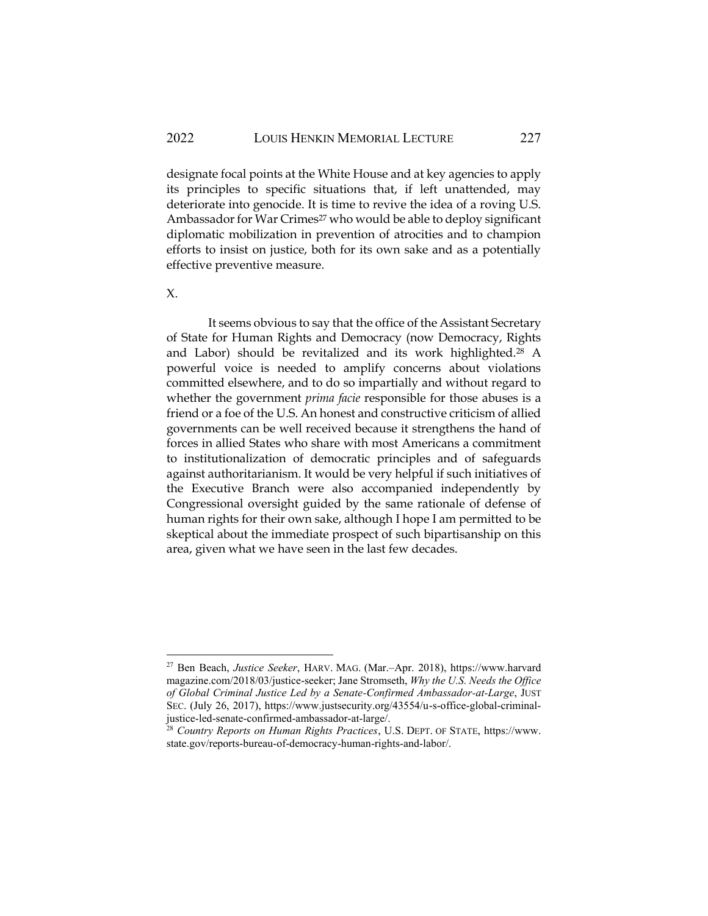designate focal points at the White House and at key agencies to apply its principles to specific situations that, if left unattended, may deteriorate into genocide. It is time to revive the idea of a roving U.S. Ambassador for War Crimes<sup>27</sup> who would be able to deploy significant diplomatic mobilization in prevention of atrocities and to champion efforts to insist on justice, both for its own sake and as a potentially effective preventive measure.

X.

It seems obvious to say that the office of the Assistant Secretary of State for Human Rights and Democracy (now Democracy, Rights and Labor) should be revitalized and its work highlighted.<sup>28</sup> A powerful voice is needed to amplify concerns about violations committed elsewhere, and to do so impartially and without regard to whether the government *prima facie* responsible for those abuses is a friend or a foe of the U.S. An honest and constructive criticism of allied governments can be well received because it strengthens the hand of forces in allied States who share with most Americans a commitment to institutionalization of democratic principles and of safeguards against authoritarianism. It would be very helpful if such initiatives of the Executive Branch were also accompanied independently by Congressional oversight guided by the same rationale of defense of human rights for their own sake, although I hope I am permitted to be skeptical about the immediate prospect of such bipartisanship on this area, given what we have seen in the last few decades.

<sup>27</sup> Ben Beach, *Justice Seeker*, HARV. MAG. (Mar.–Apr. 2018), [https://www.harvard](https://www.harvardmagazine.com/2018/03/justice-seeker) [magazine.com/2018/03/justice-seeker;](https://www.harvardmagazine.com/2018/03/justice-seeker) Jane Stromseth, *Why the U.S. Needs the Office of Global Criminal Justice Led by a Senate-Confirmed Ambassador-at-Large*, JUST SEC. (July 26, 2017), https://www.justsecurity.org/43554/u-s-office-global-criminaljustice-led-senate-confirmed-ambassador-at-large/.

<sup>28</sup> *Country Reports on Human Rights Practices*, U.S. DEPT. OF STATE, [https://www.](https://www.state.gov/reports-bureau-of-democracy-human-rights-and-labor/) [state.gov/reports-bureau-of-democracy-human-rights-and-labor/.](https://www.state.gov/reports-bureau-of-democracy-human-rights-and-labor/)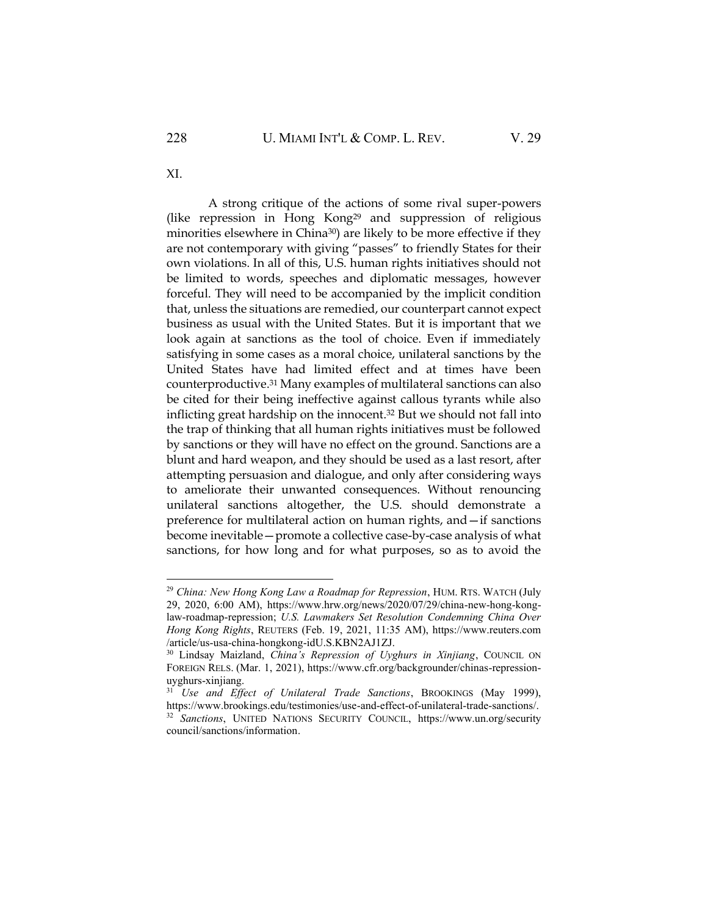XI.

A strong critique of the actions of some rival super-powers (like repression in Hong Kong<sup>29</sup> and suppression of religious minorities elsewhere in China<sup>30</sup>) are likely to be more effective if they are not contemporary with giving "passes" to friendly States for their own violations. In all of this, U.S. human rights initiatives should not be limited to words, speeches and diplomatic messages, however forceful. They will need to be accompanied by the implicit condition that, unless the situations are remedied, our counterpart cannot expect business as usual with the United States. But it is important that we look again at sanctions as the tool of choice. Even if immediately satisfying in some cases as a moral choice, unilateral sanctions by the United States have had limited effect and at times have been counterproductive.<sup>31</sup> Many examples of multilateral sanctions can also be cited for their being ineffective against callous tyrants while also inflicting great hardship on the innocent.<sup>32</sup> But we should not fall into the trap of thinking that all human rights initiatives must be followed by sanctions or they will have no effect on the ground. Sanctions are a blunt and hard weapon, and they should be used as a last resort, after attempting persuasion and dialogue, and only after considering ways to ameliorate their unwanted consequences. Without renouncing unilateral sanctions altogether, the U.S. should demonstrate a preference for multilateral action on human rights, and—if sanctions become inevitable—promote a collective case-by-case analysis of what sanctions, for how long and for what purposes, so as to avoid the

<sup>29</sup> *China: New Hong Kong Law a Roadmap for Repression*, HUM. RTS. WATCH (July 29, 2020, 6:00 AM), [https://www.hrw.org/news/2020/07/29/china-new-hong-kong](https://www.hrw.org/news/2020/07/29/china-new-hong-kong-law-roadmap-repression)[law-roadmap-repression;](https://www.hrw.org/news/2020/07/29/china-new-hong-kong-law-roadmap-repression) *U.S. Lawmakers Set Resolution Condemning China Over Hong Kong Rights*, REUTERS (Feb. 19, 2021, 11:35 AM), https://www.reuters.com /article/us-usa-china-hongkong-idU.S.KBN2AJ1ZJ.

<sup>30</sup> Lindsay Maizland, *China's Repression of Uyghurs in Xinjiang*, COUNCIL ON FOREIGN RELS. (Mar. 1, 2021), https://www.cfr.org/backgrounder/chinas-repressionuyghurs-xinjiang.

<sup>&</sup>lt;sup>31</sup> *Use and Effect of Unilateral Trade Sanctions*, BROOKINGS (May 1999), [https://www.brookings.edu/testimonies/use-and-effect-of-unilateral-trade-sanctions/.](https://www.brookings.edu/testimonies/use-and-effect-of-unilateral-trade-sanctions/) <sup>32</sup> *Sanctions*, UNITED NATIONS SECURITY COUNCIL, [https://www.un.org/security](https://www.un.org/securitycouncil/sanctions/information) [council/sanctions/information.](https://www.un.org/securitycouncil/sanctions/information)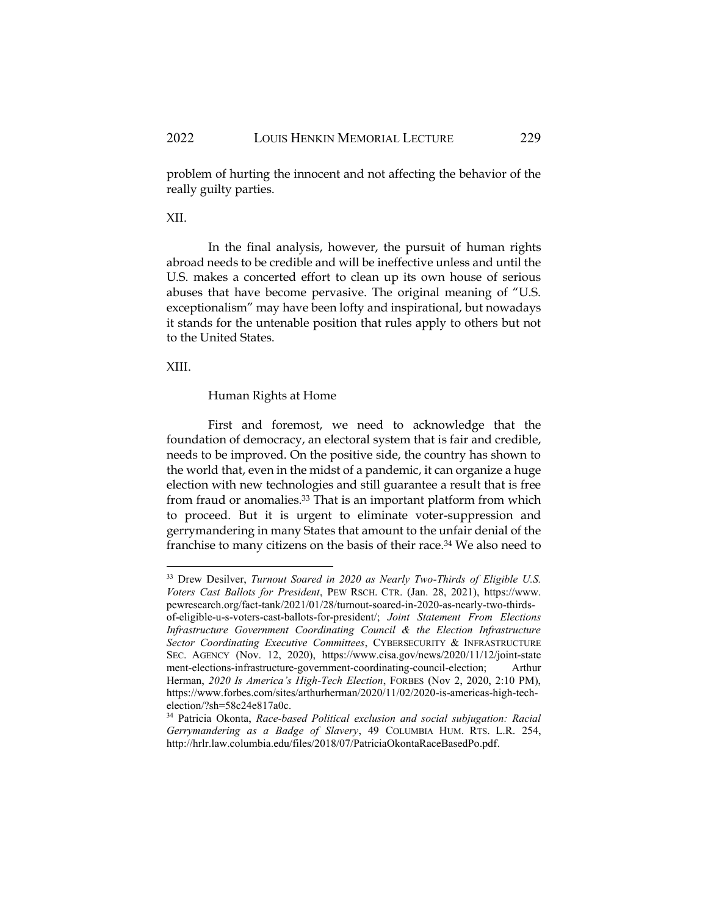problem of hurting the innocent and not affecting the behavior of the really guilty parties.

## XII.

In the final analysis, however, the pursuit of human rights abroad needs to be credible and will be ineffective unless and until the U.S. makes a concerted effort to clean up its own house of serious abuses that have become pervasive. The original meaning of "U.S. exceptionalism" may have been lofty and inspirational, but nowadays it stands for the untenable position that rules apply to others but not to the United States.

XIII.

#### Human Rights at Home

First and foremost, we need to acknowledge that the foundation of democracy, an electoral system that is fair and credible, needs to be improved. On the positive side, the country has shown to the world that, even in the midst of a pandemic, it can organize a huge election with new technologies and still guarantee a result that is free from fraud or anomalies.<sup>33</sup> That is an important platform from which to proceed. But it is urgent to eliminate voter-suppression and gerrymandering in many States that amount to the unfair denial of the franchise to many citizens on the basis of their race.<sup>34</sup> We also need to

<sup>33</sup> Drew Desilver, *Turnout Soared in 2020 as Nearly Two-Thirds of Eligible U.S. Voters Cast Ballots for President*, PEW RSCH. CTR. (Jan. 28, 2021), [https://www.](https://www.pewresearch.org/fact-tank/2021/01/28/turnout-soared-in-2020-as-nearly-two-thirds-of-eligible-u-s-voters-cast-ballots-for-president/) [pewresearch.org/fact-tank/2021/01/28/turnout-soared-in-2020-as-nearly-two-thirds](https://www.pewresearch.org/fact-tank/2021/01/28/turnout-soared-in-2020-as-nearly-two-thirds-of-eligible-u-s-voters-cast-ballots-for-president/)[of-eligible-u-s-voters-cast-ballots-for-president/;](https://www.pewresearch.org/fact-tank/2021/01/28/turnout-soared-in-2020-as-nearly-two-thirds-of-eligible-u-s-voters-cast-ballots-for-president/) *Joint Statement From Elections Infrastructure Government Coordinating Council & the Election Infrastructure Sector Coordinating Executive Committees*, CYBERSECURITY & INFRASTRUCTURE SEC. AGENCY (Nov. 12, 2020), [https://www.cisa.gov/news/2020/11/12/joint-state](https://www.cisa.gov/news/2020/11/12/joint-statement-elections-infrastructure-government-coordinating-council-election) [ment-elections-infrastructure-government-coordinating-council-election;](https://www.cisa.gov/news/2020/11/12/joint-statement-elections-infrastructure-government-coordinating-council-election) Arthur Herman, *2020 Is America's High-Tech Election*, FORBES (Nov 2, 2020, 2:10 PM), https://www.forbes.com/sites/arthurherman/2020/11/02/2020-is-americas-high-techelection/?sh=58c24e817a0c.

<sup>34</sup> Patricia Okonta, *Race-based Political exclusion and social subjugation: Racial Gerrymandering as a Badge of Slavery*, 49 COLUMBIA HUM. RTS. L.R. 254, [http://hrlr.law.columbia.edu/files/2018/07/PatriciaOkontaRaceBasedPo.pdf.](http://hrlr.law.columbia.edu/files/2018/07/PatriciaOkontaRaceBasedPo.pdf)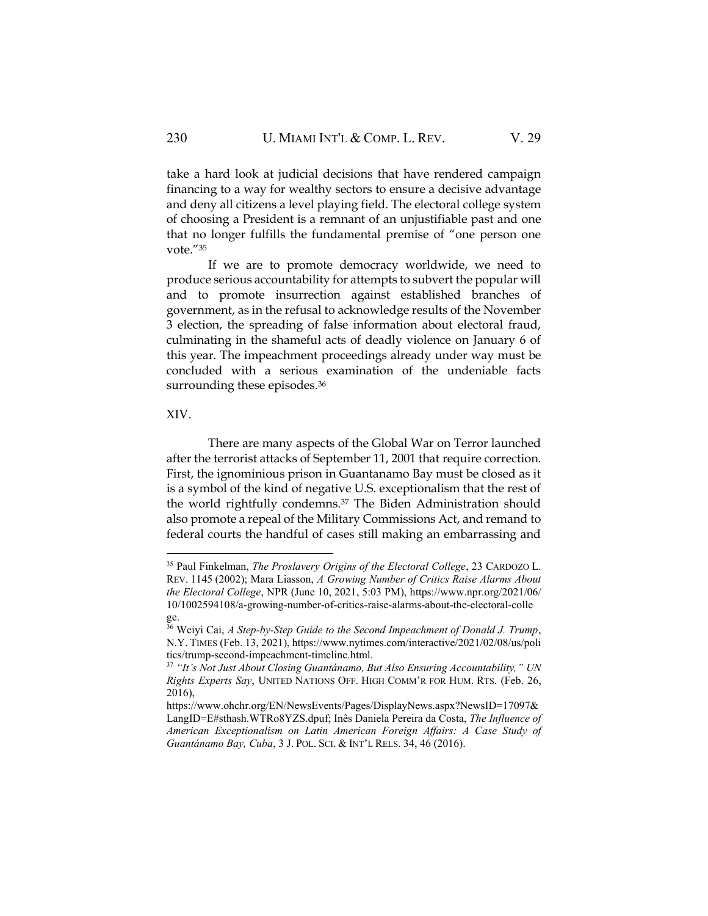take a hard look at judicial decisions that have rendered campaign financing to a way for wealthy sectors to ensure a decisive advantage and deny all citizens a level playing field. The electoral college system of choosing a President is a remnant of an unjustifiable past and one that no longer fulfills the fundamental premise of "one person one vote."<sup>35</sup>

If we are to promote democracy worldwide, we need to produce serious accountability for attempts to subvert the popular will and to promote insurrection against established branches of government, as in the refusal to acknowledge results of the November 3 election, the spreading of false information about electoral fraud, culminating in the shameful acts of deadly violence on January 6 of this year. The impeachment proceedings already under way must be concluded with a serious examination of the undeniable facts surrounding these episodes.<sup>36</sup>

## XIV.

There are many aspects of the Global War on Terror launched after the terrorist attacks of September 11, 2001 that require correction. First, the ignominious prison in Guantanamo Bay must be closed as it is a symbol of the kind of negative U.S. exceptionalism that the rest of the world rightfully condemns.<sup>37</sup> The Biden Administration should also promote a repeal of the Military Commissions Act, and remand to federal courts the handful of cases still making an embarrassing and

<sup>35</sup> Paul Finkelman, *The Proslavery Origins of the Electoral College*, 23 CARDOZO L. REV. 1145 (2002); Mara Liasson, *A Growing Number of Critics Raise Alarms About the Electoral College*, NPR (June 10, 2021, 5:03 PM), https://www.npr.org/2021/06/ 10/1002594108/a-growing-number-of-critics-raise-alarms-about-the-electoral-colle ge.

<sup>36</sup> Weiyi Cai, *A Step-by-Step Guide to the Second Impeachment of Donald J. Trump*, N.Y. TIMES (Feb. 13, 2021), https://www.nytimes.com/interactive/2021/02/08/us/poli tics/trump-second-impeachment-timeline.html.

<sup>37</sup> *"It's Not Just About Closing Guantánamo, But Also Ensuring Accountability," UN Rights Experts Say*, UNITED NATIONS OFF. HIGH COMM'R FOR HUM. RTS. (Feb. 26, 2016),

https://www.ohchr.org/EN/NewsEvents/Pages/DisplayNews.aspx?NewsID=17097& LangID=E#sthash.WTRo8YZS.dpuf; Inês Daniela Pereira da Costa, *The Influence of American Exceptionalism on Latin American Foreign Affairs: A Case Study of Guantánamo Bay, Cuba*, 3 J. POL. SCI. & INT'L RELS. 34, 46 (2016).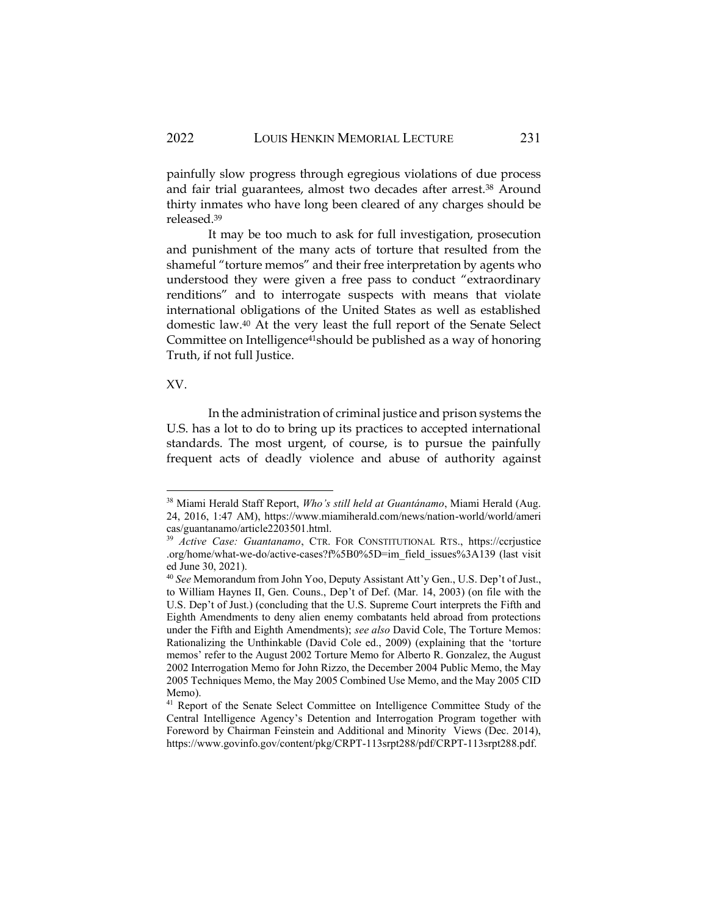painfully slow progress through egregious violations of due process and fair trial guarantees, almost two decades after arrest.<sup>38</sup> Around thirty inmates who have long been cleared of any charges should be released.<sup>39</sup>

It may be too much to ask for full investigation, prosecution and punishment of the many acts of torture that resulted from the shameful "torture memos" and their free interpretation by agents who understood they were given a free pass to conduct "extraordinary renditions" and to interrogate suspects with means that violate international obligations of the United States as well as established domestic law.<sup>40</sup> At the very least the full report of the Senate Select Committee on Intelligence<sup>41</sup>should be published as a way of honoring Truth, if not full Justice.

## XV.

In the administration of criminal justice and prison systems the U.S. has a lot to do to bring up its practices to accepted international standards. The most urgent, of course, is to pursue the painfully frequent acts of deadly violence and abuse of authority against

<sup>38</sup> Miami Herald Staff Report, *Who's still held at Guantánamo*, Miami Herald (Aug. 24, 2016, 1:47 AM), https://www.miamiherald.com/news/nation-world/world/ameri cas/guantanamo/article2203501.html.

<sup>39</sup> *Active Case: Guantanamo*, CTR. FOR CONSTITUTIONAL RTS., https://ccrjustice .org/home/what-we-do/active-cases?f%5B0%5D=im\_field\_issues%3A139 (last visit ed June 30, 2021).

<sup>40</sup> *See* Memorandum from John Yoo, Deputy Assistant Att'y Gen., U.S. Dep't of Just., to William Haynes II, Gen. Couns., Dep't of Def. (Mar. 14, 2003) (on file with the U.S. Dep't of Just.) (concluding that the U.S. Supreme Court interprets the Fifth and Eighth Amendments to deny alien enemy combatants held abroad from protections under the Fifth and Eighth Amendments); *see also* David Cole, The Torture Memos: Rationalizing the Unthinkable (David Cole ed., 2009) (explaining that the 'torture memos' refer to the August 2002 Torture Memo for Alberto R. Gonzalez, the August 2002 Interrogation Memo for John Rizzo, the December 2004 Public Memo, the May 2005 Techniques Memo, the May 2005 Combined Use Memo, and the May 2005 CID Memo).

<sup>&</sup>lt;sup>41</sup> Report of the Senate Select Committee on Intelligence Committee Study of the Central Intelligence Agency's Detention and Interrogation Program together with Foreword by Chairman Feinstein and Additional and Minority Views (Dec. 2014), https://www.govinfo.gov/content/pkg/CRPT-113srpt288/pdf/CRPT-113srpt288.pdf.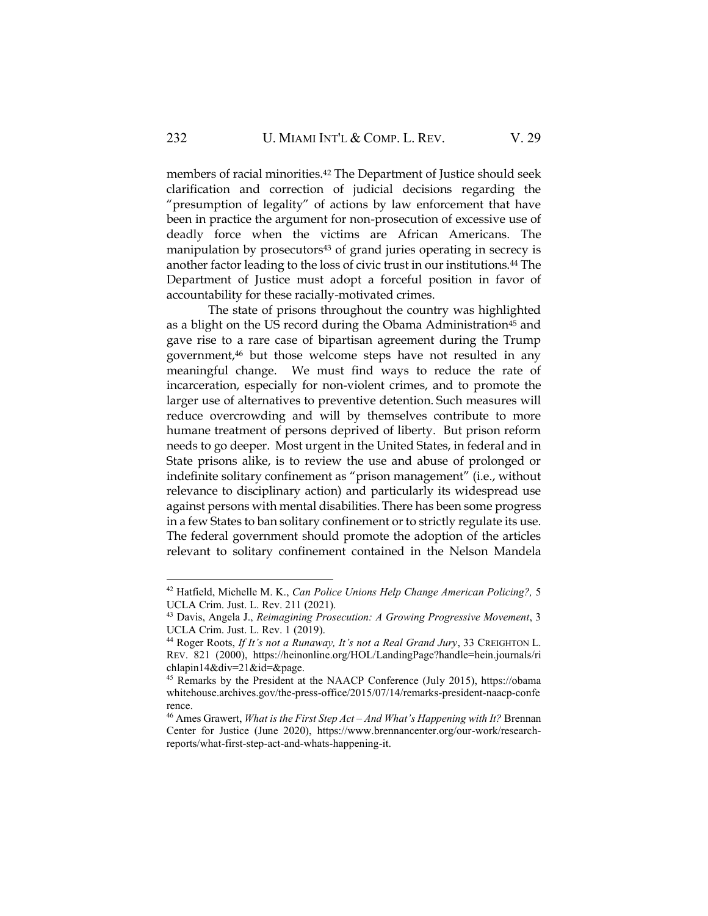members of racial minorities. <sup>42</sup> The Department of Justice should seek clarification and correction of judicial decisions regarding the "presumption of legality" of actions by law enforcement that have been in practice the argument for non-prosecution of excessive use of deadly force when the victims are African Americans. The manipulation by prosecutors<sup>43</sup> of grand juries operating in secrecy is another factor leading to the loss of civic trust in our institutions.<sup>44</sup> The Department of Justice must adopt a forceful position in favor of accountability for these racially-motivated crimes.

The state of prisons throughout the country was highlighted as a blight on the US record during the Obama Administration<sup>45</sup> and gave rise to a rare case of bipartisan agreement during the Trump government,<sup>46</sup> but those welcome steps have not resulted in any meaningful change. We must find ways to reduce the rate of incarceration, especially for non-violent crimes, and to promote the larger use of alternatives to preventive detention. Such measures will reduce overcrowding and will by themselves contribute to more humane treatment of persons deprived of liberty. But prison reform needs to go deeper. Most urgent in the United States, in federal and in State prisons alike, is to review the use and abuse of prolonged or indefinite solitary confinement as "prison management" (i.e., without relevance to disciplinary action) and particularly its widespread use against persons with mental disabilities.There has been some progress in a few States to ban solitary confinement or to strictly regulate its use. The federal government should promote the adoption of the articles relevant to solitary confinement contained in the Nelson Mandela

<sup>42</sup> Hatfield, Michelle M. K., *Can Police Unions Help Change American Policing?,* 5 UCLA Crim. Just. L. Rev. 211 (2021).

<sup>43</sup> Davis, Angela J., *Reimagining Prosecution: A Growing Progressive Movement*, 3 UCLA Crim. Just. L. Rev. 1 (2019).

<sup>44</sup> Roger Roots, *If It's not a Runaway, It's not a Real Grand Jury*, 33 CREIGHTON L. REV. 821 (2000), https://heinonline.org/HOL/LandingPage?handle=hein.journals/ri chlapin14&div=21&id=&page.

<sup>45</sup> Remarks by the President at the NAACP Conference (July 2015), https://obama whitehouse.archives.gov/the-press-office/2015/07/14/remarks-president-naacp-confe rence.

<sup>46</sup> Ames Grawert, *What is the First Step Act – And What's Happening with It?* Brennan Center for Justice (June 2020), https://www.brennancenter.org/our-work/researchreports/what-first-step-act-and-whats-happening-it.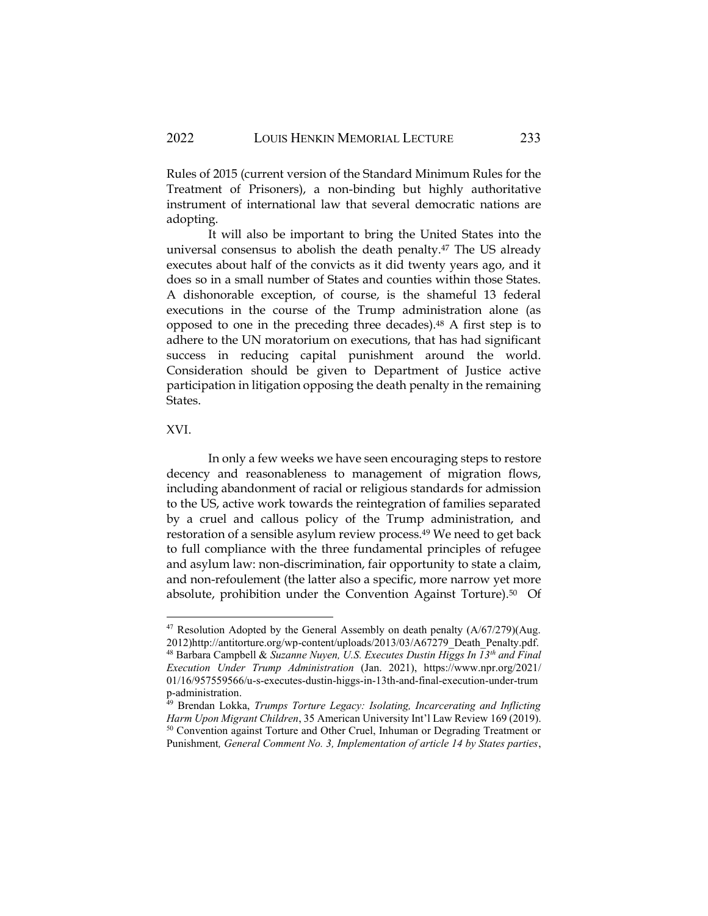Rules of 2015 (current version of the Standard Minimum Rules for the Treatment of Prisoners), a non-binding but highly authoritative instrument of international law that several democratic nations are adopting.

It will also be important to bring the United States into the universal consensus to abolish the death penalty.<sup>47</sup> The US already executes about half of the convicts as it did twenty years ago, and it does so in a small number of States and counties within those States. A dishonorable exception, of course, is the shameful 13 federal executions in the course of the Trump administration alone (as opposed to one in the preceding three decades).<sup>48</sup> A first step is to adhere to the UN moratorium on executions, that has had significant success in reducing capital punishment around the world. Consideration should be given to Department of Justice active participation in litigation opposing the death penalty in the remaining States.

XVI.

In only a few weeks we have seen encouraging steps to restore decency and reasonableness to management of migration flows, including abandonment of racial or religious standards for admission to the US, active work towards the reintegration of families separated by a cruel and callous policy of the Trump administration, and restoration of a sensible asylum review process.<sup>49</sup> We need to get back to full compliance with the three fundamental principles of refugee and asylum law: non-discrimination, fair opportunity to state a claim, and non-refoulement (the latter also a specific, more narrow yet more absolute, prohibition under the Convention Against Torture).<sup>50</sup> Of

 $47$  Resolution Adopted by the General Assembly on death penalty  $(A/67/279)(Aug.$ 2012)http://antitorture.org/wp-content/uploads/2013/03/A67279\_Death\_Penalty.pdf. <sup>48</sup> Barbara Campbell & *Suzanne Nuyen, U.S. Executes Dustin Higgs In 13th and Final Execution Under Trump Administration* (Jan. 2021), https://www.npr.org/2021/ 01/16/957559566/u-s-executes-dustin-higgs-in-13th-and-final-execution-under-trum p-administration.

<sup>49</sup> Brendan Lokka, *Trumps Torture Legacy: Isolating, Incarcerating and Inflicting Harm Upon Migrant Children*, 35 American University Int'l Law Review 169 (2019). <sup>50</sup> Convention against Torture and Other Cruel, Inhuman or Degrading Treatment or Punishment*, General Comment No. 3, Implementation of article 14 by States parties*,